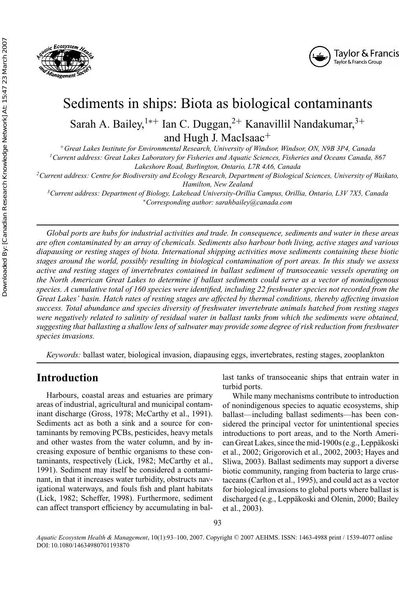



# Sediments in ships: Biota as biological contaminants Sarah A. Bailey,<sup>1∗+</sup> Ian C. Duggan,<sup>2+</sup> Kanavillil Nandakumar,<sup>3+</sup> and Hugh J. MacIsaac+

<sup>+</sup>*Great Lakes Institute for Environmental Research, University of Windsor, Windsor, ON, N9B 3P4, Canada 1Current address: Great Lakes Laboratory for Fisheries and Aquatic Sciences, Fisheries and Oceans Canada, 867*

*Lakeshore Road, Burlington, Ontario, L7R 4A6, Canada*

*2Current address: Centre for Biodiversity and Ecology Research, Department of Biological Sciences, University of Waikato, Hamilton, New Zealand*

*3Current address: Department of Biology, Lakehead University-Orillia Campus, Orillia, Ontario, L3V 7X5, Canada* <sup>∗</sup>*Corresponding author: sarahbailey@canada.com*

*Global ports are hubs for industrial activities and trade. In consequence, sediments and water in these areas are often contaminated by an array of chemicals. Sediments also harbour both living, active stages and various diapausing or resting stages of biota. International shipping activities move sediments containing these biotic stages around the world, possibly resulting in biological contamination of port areas. In this study we assess active and resting stages of invertebrates contained in ballast sediment of transoceanic vessels operating on the North American Great Lakes to determine if ballast sediments could serve as a vector of nonindigenous species. A cumulative total of 160 species were identified, including 22 freshwater species not recorded from the Great Lakes' basin. Hatch rates of resting stages are affected by thermal conditions, thereby affecting invasion success. Total abundance and species diversity of freshwater invertebrate animals hatched from resting stages were negatively related to salinity of residual water in ballast tanks from which the sediments were obtained, suggesting that ballasting a shallow lens of saltwater may provide some degree of risk reduction from freshwater species invasions.*

*Keywords:* ballast water, biological invasion, diapausing eggs, invertebrates, resting stages, zooplankton

# **Introduction**

Harbours, coastal areas and estuaries are primary areas of industrial, agricultural and municipal contaminant discharge (Gross, 1978; McCarthy et al., 1991). Sediments act as both a sink and a source for contaminants by removing PCBs, pesticides, heavy metals and other wastes from the water column, and by increasing exposure of benthic organisms to these contaminants, respectively (Lick, 1982; McCarthy et al., 1991). Sediment may itself be considered a contaminant, in that it increases water turbidity, obstructs navigational waterways, and fouls fish and plant habitats (Lick, 1982; Scheffer, 1998). Furthermore, sediment can affect transport efficiency by accumulating in ballast tanks of transoceanic ships that entrain water in turbid ports.

While many mechanisms contribute to introduction of nonindigenous species to aquatic ecosystems, ship ballast—including ballast sediments—has been considered the principal vector for unintentional species introductions to port areas, and to the North American Great Lakes, since the mid-1900s (e.g., Leppäkoski et al., 2002; Grigorovich et al., 2002, 2003; Hayes and Sliwa, 2003). Ballast sediments may support a diverse biotic community, ranging from bacteria to large crustaceans (Carlton et al., 1995), and could act as a vector for biological invasions to global ports where ballast is discharged (e.g., Leppäkoski and Olenin, 2000; Bailey et al., 2003).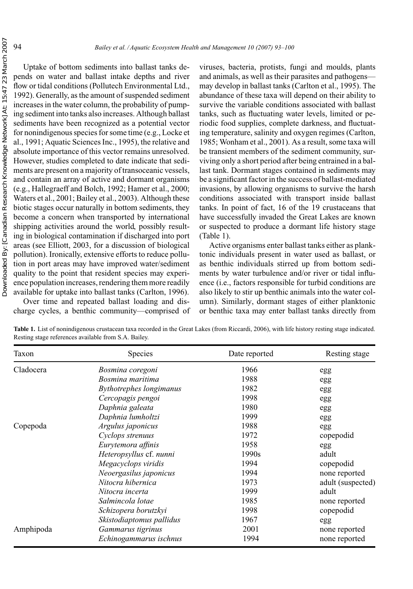Uptake of bottom sediments into ballast tanks depends on water and ballast intake depths and river flow or tidal conditions (Pollutech Environmental Ltd., 1992). Generally, as the amount of suspended sediment increases in the water column, the probability of pumping sediment into tanks also increases. Although ballast sediments have been recognized as a potential vector for nonindigenous species for some time (e.g., Locke et al., 1991; Aquatic Sciences Inc., 1995), the relative and absolute importance of this vector remains unresolved. However, studies completed to date indicate that sediments are present on a majority of transoceanic vessels, and contain an array of active and dormant organisms (e.g., Hallegraeff and Bolch, 1992; Hamer et al., 2000; Waters et al., 2001; Bailey et al., 2003). Although these biotic stages occur naturally in bottom sediments, they become a concern when transported by international shipping activities around the world, possibly resulting in biological contamination if discharged into port areas (see Elliott, 2003, for a discussion of biological pollution). Ironically, extensive efforts to reduce pollution in port areas may have improved water/sediment quality to the point that resident species may experience population increases, rendering them more readily available for uptake into ballast tanks (Carlton, 1996).

Over time and repeated ballast loading and discharge cycles, a benthic community—comprised of viruses, bacteria, protists, fungi and moulds, plants and animals, as well as their parasites and pathogens may develop in ballast tanks (Carlton et al., 1995). The abundance of these taxa will depend on their ability to survive the variable conditions associated with ballast tanks, such as fluctuating water levels, limited or periodic food supplies, complete darkness, and fluctuating temperature, salinity and oxygen regimes (Carlton, 1985; Wonham et al., 2001). As a result, some taxa will be transient members of the sediment community, surviving only a short period after being entrained in a ballast tank. Dormant stages contained in sediments may be a significant factor in the success of ballast-mediated invasions, by allowing organisms to survive the harsh conditions associated with transport inside ballast tanks. In point of fact, 16 of the 19 crustaceans that have successfully invaded the Great Lakes are known or suspected to produce a dormant life history stage (Table 1).

Active organisms enter ballast tanks either as planktonic individuals present in water used as ballast, or as benthic individuals stirred up from bottom sediments by water turbulence and/or river or tidal influence (i.e., factors responsible for turbid conditions are also likely to stir up benthic animals into the water column). Similarly, dormant stages of either planktonic or benthic taxa may enter ballast tanks directly from

| Taxon     | Species                        | Date reported | Resting stage     |
|-----------|--------------------------------|---------------|-------------------|
| Cladocera | Bosmina coregoni               | 1966          | egg               |
|           | Bosmina maritima               | 1988          | egg               |
|           | <b>Bythotrephes longimanus</b> | 1982          | egg               |
|           | Cercopagis pengoi              | 1998          | egg               |
|           | Daphnia galeata                | 1980          | egg               |
|           | Daphnia lumholtzi              | 1999          | egg               |
| Copepoda  | Argulus japonicus              | 1988          | egg               |
|           | Cyclops strenuus               | 1972          | copepodid         |
|           | Eurytemora affinis             | 1958          | egg               |
|           | Heteropsyllus cf. nunni        | 1990s         | adult             |
|           | Megacyclops viridis            | 1994          | copepodid         |
|           | Neoergasilus japonicus         | 1994          | none reported     |
|           | Nitocra hibernica              | 1973          | adult (suspected) |
|           | Nitocra incerta                | 1999          | adult             |
|           | Salmincola lotae               | 1985          | none reported     |
|           | Schizopera borutzkyi           | 1998          | copepodid         |
|           | Skistodiaptomus pallidus       | 1967          | egg               |
| Amphipoda | Gammarus tigrinus              | 2001          | none reported     |
|           | Echinogammarus ischnus         | 1994          | none reported     |

**Table 1.** List of nonindigenous crustacean taxa recorded in the Great Lakes (from Riccardi, 2006), with life history resting stage indicated. Resting stage references available from S.A. Bailey.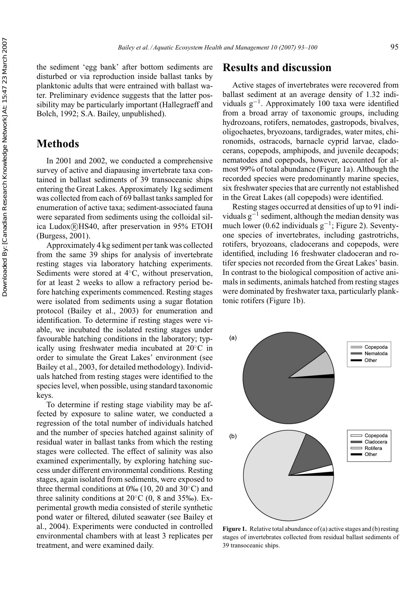the sediment 'egg bank' after bottom sediments are disturbed or via reproduction inside ballast tanks by planktonic adults that were entrained with ballast water. Preliminary evidence suggests that the latter possibility may be particularly important (Hallegraeff and Bolch, 1992; S.A. Bailey, unpublished).

## **Methods**

In 2001 and 2002, we conducted a comprehensive survey of active and diapausing invertebrate taxa contained in ballast sediments of 39 transoceanic ships entering the Great Lakes. Approximately 1kg sediment was collected from each of 69 ballast tanks sampled for enumeration of active taxa; sediment-associated fauna were separated from sediments using the colloidal silica Ludox®HS40, after preservation in 95% ETOH (Burgess, 2001).

Approximately 4 kg sediment per tank was collected from the same 39 ships for analysis of invertebrate resting stages via laboratory hatching experiments. Sediments were stored at 4◦C, without preservation, for at least 2 weeks to allow a refractory period before hatching experiments commenced. Resting stages were isolated from sediments using a sugar flotation protocol (Bailey et al., 2003) for enumeration and identification. To determine if resting stages were viable, we incubated the isolated resting stages under favourable hatching conditions in the laboratory; typically using freshwater media incubated at 20◦C in order to simulate the Great Lakes' environment (see Bailey et al., 2003, for detailed methodology). Individuals hatched from resting stages were identified to the species level, when possible, using standard taxonomic keys.

To determine if resting stage viability may be affected by exposure to saline water, we conducted a regression of the total number of individuals hatched and the number of species hatched against salinity of residual water in ballast tanks from which the resting stages were collected. The effect of salinity was also examined experimentally, by exploring hatching success under different environmental conditions. Resting stages, again isolated from sediments, were exposed to three thermal conditions at 0‰ (10, 20 and 30◦C) and three salinity conditions at  $20^{\circ}$ C (0, 8 and 35‰). Experimental growth media consisted of sterile synthetic pond water or filtered, diluted seawater (see Bailey et al., 2004). Experiments were conducted in controlled environmental chambers with at least 3 replicates per treatment, and were examined daily.

## **Results and discussion**

Active stages of invertebrates were recovered from ballast sediment at an average density of 1.32 individuals g−1. Approximately 100 taxa were identified from a broad array of taxonomic groups, including hydrozoans, rotifers, nematodes, gastropods, bivalves, oligochaetes, bryozoans, tardigrades, water mites, chironomids, ostracods, barnacle cyprid larvae, cladocerans, copepods, amphipods, and juvenile decapods; nematodes and copepods, however, accounted for almost 99% of total abundance (Figure 1a). Although the recorded species were predominantly marine species, six freshwater species that are currently not established in the Great Lakes (all copepods) were identified.

Resting stages occurred at densities of up to 91 individuals  $g^{-1}$  sediment, although the median density was much lower (0.62 individuals  $g^{-1}$ ; Figure 2). Seventyone species of invertebrates, including gastrotrichs, rotifers, bryozoans, cladocerans and copepods, were identified, including 16 freshwater cladoceran and rotifer species not recorded from the Great Lakes' basin. In contrast to the biological composition of active animals in sediments, animals hatched from resting stages were dominated by freshwater taxa, particularly planktonic rotifers (Figure 1b).



**Figure 1.** Relative total abundance of (a) active stages and (b) resting stages of invertebrates collected from residual ballast sediments of 39 transoceanic ships.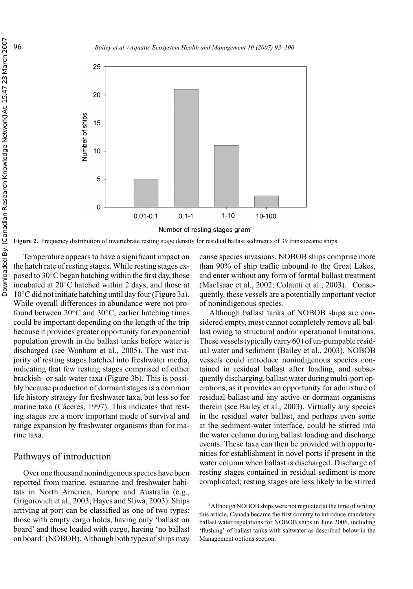

**Figure 2.** Frequency distribution of invertebrate resting stage density for residual ballast sediments of 39 transoceanic ships.

Temperature appears to have a significant impact on the hatch rate of resting stages. While resting stages exposed to 30◦C began hatching within the first day, those incubated at 20◦C hatched within 2 days, and those at 10◦C did not initiate hatching until day four (Figure 3a). While overall differences in abundance were not profound between 20◦C and 30◦C, earlier hatching times could be important depending on the length of the trip because it provides greater opportunity for exponential population growth in the ballast tanks before water is discharged (see Wonham et al., 2005). The vast majority of resting stages hatched into freshwater media, indicating that few resting stages comprised of either brackish- or salt-water taxa (Figure 3b). This is possibly because production of dormant stages is a common life history strategy for freshwater taxa, but less so for marine taxa (Cáceres, 1997). This indicates that resting stages are a more important mode of survival and range expansion by freshwater organisms than for marine taxa.

#### Pathways of introduction

Over one thousand nonindigenous species have been reported from marine, estuarine and freshwater habitats in North America, Europe and Australia (e.g., Grigorovich et al., 2003; Hayes and Sliwa, 2003). Ships arriving at port can be classified as one of two types: those with empty cargo holds, having only 'ballast on board' and those loaded with cargo, having 'no ballast on board' (NOBOB). Although both types of ships may

cause species invasions, NOBOB ships comprise more than 90% of ship traffic inbound to the Great Lakes, and enter without any form of formal ballast treatment (MacIsaac et al., 2002; Colautti et al., 2003).<sup>1</sup> Consequently, these vessels are a potentially important vector of nonindigenous species.

Although ballast tanks of NOBOB ships are considered empty, most cannot completely remove all ballast owing to structural and/or operational limitations. These vessels typically carry 60 t of un-pumpable residual water and sediment (Bailey et al., 2003). NOBOB vessels could introduce nonindigenous species contained in residual ballast after loading, and subsequently discharging, ballast water during multi-port operations, as it provides an opportunity for admixture of residual ballast and any active or dormant organisms therein (see Bailey et al., 2003). Virtually any species in the residual water ballast, and perhaps even some at the sediment-water interface, could be stirred into the water column during ballast loading and discharge events. These taxa can then be provided with opportunities for establishment in novel ports if present in the water column when ballast is discharged. Discharge of resting stages contained in residual sediment is more complicated; resting stages are less likely to be stirred

<sup>&</sup>lt;sup>1</sup> Although NOBOB ships were not regulated at the time of writing this article, Canada became the first country to introduce mandatory ballast water regulations for NOBOB ships in June 2006, including 'flushing' of ballast tanks with saltwater as described below in the Management options section.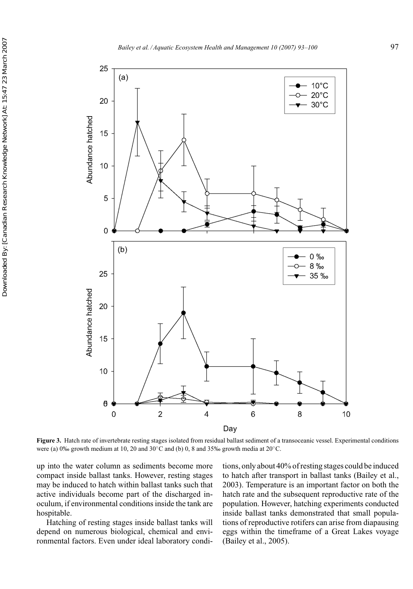

**Figure 3.** Hatch rate of invertebrate resting stages isolated from residual ballast sediment of a transoceanic vessel. Experimental conditions were (a) 0‰ growth medium at 10, 20 and 30◦C and (b) 0, 8 and 35‰ growth media at 20◦C.

up into the water column as sediments become more compact inside ballast tanks. However, resting stages may be induced to hatch within ballast tanks such that active individuals become part of the discharged inoculum, if environmental conditions inside the tank are hospitable.

Hatching of resting stages inside ballast tanks will depend on numerous biological, chemical and environmental factors. Even under ideal laboratory conditions, only about 40% of resting stages could be induced to hatch after transport in ballast tanks (Bailey et al., 2003). Temperature is an important factor on both the hatch rate and the subsequent reproductive rate of the population. However, hatching experiments conducted inside ballast tanks demonstrated that small populations of reproductive rotifers can arise from diapausing eggs within the timeframe of a Great Lakes voyage (Bailey et al., 2005).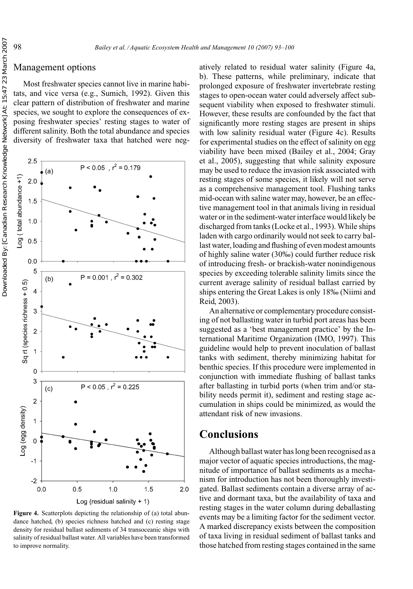### Management options

Most freshwater species cannot live in marine habitats, and vice versa (e.g., Sumich, 1992). Given this clear pattern of distribution of freshwater and marine species, we sought to explore the consequences of exposing freshwater species' resting stages to water of different salinity. Both the total abundance and species diversity of freshwater taxa that hatched were neg-



**Figure 4.** Scatterplots depicting the relationship of (a) total abundance hatched, (b) species richness hatched and (c) resting stage density for residual ballast sediments of 34 transoceanic ships with salinity of residual ballast water. All variables have been transformed to improve normality.

atively related to residual water salinity (Figure 4a, b). These patterns, while preliminary, indicate that prolonged exposure of freshwater invertebrate resting stages to open-ocean water could adversely affect subsequent viability when exposed to freshwater stimuli. However, these results are confounded by the fact that significantly more resting stages are present in ships with low salinity residual water (Figure 4c). Results for experimental studies on the effect of salinity on egg viability have been mixed (Bailey et al., 2004; Gray et al., 2005), suggesting that while salinity exposure may be used to reduce the invasion risk associated with resting stages of some species, it likely will not serve as a comprehensive management tool. Flushing tanks mid-ocean with saline water may, however, be an effective management tool in that animals living in residual water or in the sediment-water interface would likely be discharged from tanks (Locke et al., 1993). While ships laden with cargo ordinarily would not seek to carry ballast water, loading and flushing of even modest amounts of highly saline water (30‰) could further reduce risk of introducing fresh- or brackish-water nonindigenous species by exceeding tolerable salinity limits since the current average salinity of residual ballast carried by ships entering the Great Lakes is only 18‰ (Niimi and Reid, 2003).

An alternative or complementary procedure consisting of not ballasting water in turbid port areas has been suggested as a 'best management practice' by the International Maritime Organization (IMO, 1997). This guideline would help to prevent inoculation of ballast tanks with sediment, thereby minimizing habitat for benthic species. If this procedure were implemented in conjunction with immediate flushing of ballast tanks after ballasting in turbid ports (when trim and/or stability needs permit it), sediment and resting stage accumulation in ships could be minimized, as would the attendant risk of new invasions.

# **Conclusions**

Although ballast water has long been recognised as a major vector of aquatic species introductions, the magnitude of importance of ballast sediments as a mechanism for introduction has not been thoroughly investigated. Ballast sediments contain a diverse array of active and dormant taxa, but the availability of taxa and resting stages in the water column during deballasting events may be a limiting factor for the sediment vector. A marked discrepancy exists between the composition of taxa living in residual sediment of ballast tanks and those hatched from resting stages contained in the same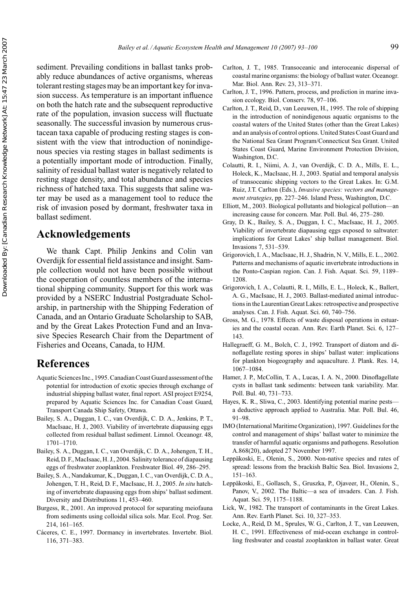sediment. Prevailing conditions in ballast tanks probably reduce abundances of active organisms, whereas tolerant resting stages may be an important key for invasion success. As temperature is an important influence on both the hatch rate and the subsequent reproductive rate of the population, invasion success will fluctuate seasonally. The successful invasion by numerous crustacean taxa capable of producing resting stages is consistent with the view that introduction of nonindigenous species via resting stages in ballast sediments is a potentially important mode of introduction. Finally, salinity of residual ballast water is negatively related to resting stage density, and total abundance and species richness of hatched taxa. This suggests that saline water may be used as a management tool to reduce the risk of invasion posed by dormant, freshwater taxa in ballast sediment.

# **Acknowledgements**

We thank Capt. Philip Jenkins and Colin van Overdijk for essential field assistance and insight. Sample collection would not have been possible without the cooperation of countless members of the international shipping community. Support for this work was provided by a NSERC Industrial Postgraduate Scholarship, in partnership with the Shipping Federation of Canada, and an Ontario Graduate Scholarship to SAB, and by the Great Lakes Protection Fund and an Invasive Species Research Chair from the Department of Fisheries and Oceans, Canada, to HJM.

## **References**

- Aquatic Sciences Inc., 1995. Canadian Coast Guard assessment of the potential for introduction of exotic species through exchange of industrial shipping ballast water, final report. ASI project E9254, prepared by Aquatic Sciences Inc. for Canadian Coast Guard, Transport Canada Ship Safety, Ottawa.
- Bailey, S. A., Duggan, I. C., van Overdijk, C. D. A., Jenkins, P. T., MacIsaac, H. J., 2003. Viability of invertebrate diapausing eggs collected from residual ballast sediment. Limnol. Oceanogr. 48, 1701–1710.
- Bailey, S. A., Duggan, I. C., van Overdijk, C. D. A., Johengen, T. H., Reid, D. F., MacIsaac, H. J., 2004. Salinity tolerance of diapausing eggs of freshwater zooplankton. Freshwater Biol. 49, 286–295.
- Bailey, S. A., Nandakumar, K., Duggan, I. C., van Overdijk, C. D. A., Johengen, T. H., Reid, D. F., MacIsaac, H. J., 2005. *In situ* hatching of invertebrate diapausing eggs from ships' ballast sediment. Diversity and Distributions 11, 453–460.
- Burgess, R., 2001. An improved protocol for separating meiofauna from sediments using colloidal silica sols. Mar. Ecol. Prog. Ser. 214, 161–165.
- Cáceres, C. E., 1997. Dormancy in invertebrates. Invertebr. Biol. 116, 371–383.
- Carlton, J. T., 1985. Transoceanic and interoceanic dispersal of coastal marine organisms: the biology of ballast water. Oceanogr. Mar. Biol. Ann. Rev. 23, 313–371.
- Carlton, J. T., 1996. Pattern, process, and prediction in marine invasion ecology. Biol. Conserv. 78, 97–106.
- Carlton, J. T., Reid, D., van Leeuwen, H., 1995. The role of shipping in the introduction of nonindigenous aquatic organisms to the coastal waters of the United States (other than the Great Lakes) and an analysis of control options. United States Coast Guard and the National Sea Grant Program/Connecticut Sea Grant. United States Coast Guard, Marine Environment Protection Division, Washington, D.C.
- Colautti, R. I., Niimi, A. J., van Overdijk, C. D. A., Mills, E. L., Holeck, K., MacIsaac, H. J., 2003. Spatial and temporal analysis of transoceanic shipping vectors to the Great Lakes. In: G.M. Ruiz, J.T. Carlton (Eds.), *Invasive species: vectors and management strategies*, pp. 227–246. Island Press, Washington, D.C.
- Elliott, M., 2003. Biological pollutants and biological pollution—an increasing cause for concern. Mar. Poll. Bul. 46, 275–280.
- Gray, D. K., Bailey, S. A., Duggan, I. C., MacIsaac, H. J., 2005. Viability of invertebrate diapausing eggs exposed to saltwater: implications for Great Lakes' ship ballast management. Biol. Invasions 7, 531–539.
- Grigorovich, I. A., MacIsaac, H. J., Shadrin, N. V., Mills, E. L., 2002. Patterns and mechanisms of aquatic invertebrate introductions in the Ponto-Caspian region. Can. J. Fish. Aquat. Sci. 59, 1189– 1208.
- Grigorovich, I. A., Colautti, R. I., Mills, E. L., Holeck, K., Ballert, A. G., MacIsaac, H. J., 2003. Ballast-mediated animal introductions in the Laurentian Great Lakes: retrospective and prospective analyses. Can. J. Fish. Aquat. Sci. 60, 740–756.
- Gross, M. G., 1978. Effects of waste disposal operations in estuaries and the coastal ocean. Ann. Rev. Earth Planet. Sci. 6, 127– 143.
- Hallegraeff, G. M., Bolch, C. J., 1992. Transport of diatom and dinoflagellate resting spores in ships' ballast water: implications for plankton biogeography and aquaculture. J. Plank. Res. 14, 1067–1084.
- Hamer, J. P., McCollin, T. A., Lucas, I. A. N., 2000. Dinoflagellate cysts in ballast tank sediments: between tank variability. Mar. Poll. Bul. 40, 731–733.
- Hayes, K. R., Sliwa, C., 2003. Identifying potential marine pests a deductive approach applied to Australia. Mar. Poll. Bul. 46, 91–98.
- IMO (International Maritime Organization), 1997. Guidelines for the control and management of ships' ballast water to minimize the transfer of harmful aquatic organisms and pathogens. Resolution A.868(20), adopted 27 November 1997.
- Leppäkoski, E., Olenin, S., 2000. Non-native species and rates of spread: lessons from the brackish Baltic Sea. Biol. Invasions 2, 151–163.
- Leppäkoski, E., Gollasch, S., Gruszka, P., Ojaveer, H., Olenin, S., Panov, V., 2002. The Baltic—a sea of invaders. Can. J. Fish. Aquat. Sci. 59, 1175–1188.
- Lick, W., 1982. The transport of contaminants in the Great Lakes. Ann. Rev. Earth Planet. Sci. 10, 327–353.
- Locke, A., Reid, D. M., Sprules, W. G., Carlton, J. T., van Leeuwen, H. C., 1991. Effectiveness of mid-ocean exchange in controlling freshwater and coastal zooplankton in ballast water. Great